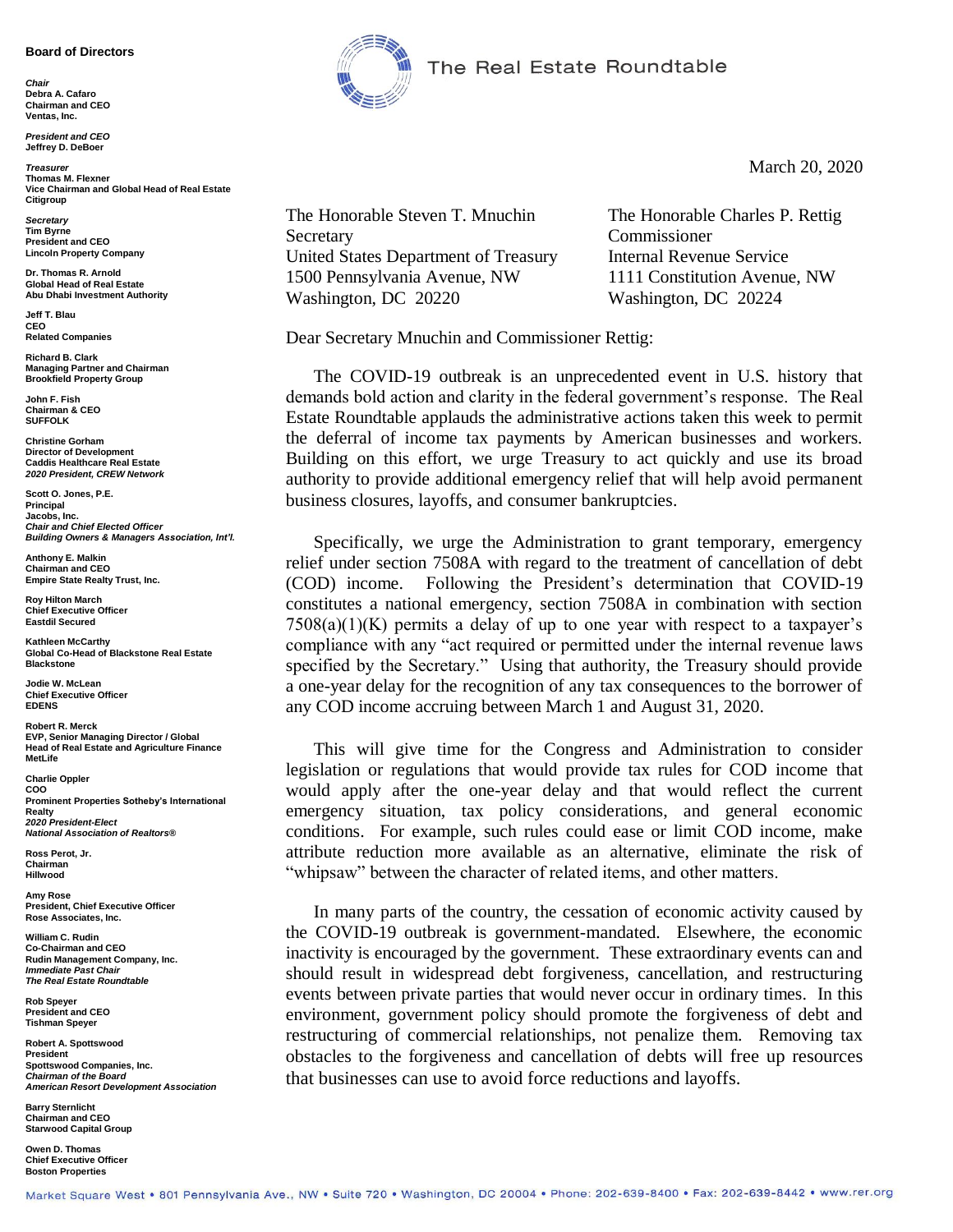## **Board of Directors**

*Chair* **Debra A. Cafaro Chairman and CEO Ventas, Inc.**

*President and CEO* **Jeffrey D. DeBoer**

*Treasurer* **Thomas M. Flexner Vice Chairman and Global Head of Real Estate Citigroup**

*Secretary* **Tim Byrne President and CEO Lincoln Property Company**

**Dr. Thomas R. Arnold Global Head of Real Estate Abu Dhabi Investment Authority**

**Jeff T. Blau CEO Related Companies**

**Richard B. Clark Managing Partner and Chairman Brookfield Property Group**

**John F. Fish Chairman & CEO SUFFOLK**

**Christine Gorham Director of Development Caddis Healthcare Real Estate** *2020 President, CREW Network*

**Scott O. Jones, P.E. Principal Jacobs, Inc.** *Chair and Chief Elected Officer Building Owners & Managers Association, Int'l.*

**Anthony E. Malkin Chairman and CEO Empire State Realty Trust, Inc.**

**Roy Hilton March Chief Executive Officer Eastdil Secured**

**Kathleen McCarthy Global Co-Head of Blackstone Real Estate Blackstone**

**Jodie W. McLean Chief Executive Officer EDENS**

**Robert R. Merck EVP, Senior Managing Director / Global Head of Real Estate and Agriculture Finance MetLife**

**Charlie Oppler COO Prominent Properties Sotheby's International Realty** *2020 President-Elect National Association of Realtors®*

**Ross Perot, Jr. Chairman Hillwood**

**Amy Rose President, Chief Executive Officer Rose Associates, Inc.**

**William C. Rudin Co-Chairman and CEO Rudin Management Company, Inc.** *Immediate Past Chair The Real Estate Roundtable*

**Rob Speyer President and CEO Tishman Speyer**

**Robert A. Spottswood President Spottswood Companies, Inc.** *Chairman of the Board American Resort Development Association*

**Barry Sternlicht Chairman and CEO Starwood Capital Group**

**Owen D. Thomas Chief Executive Officer Boston Properties**



The Real Estate Roundtable

March 20, 2020

The Honorable Steven T. Mnuchin The Honorable Charles P. Rettig Secretary Commissioner United States Department of Treasury Internal Revenue Service 1500 Pennsylvania Avenue, NW 1111 Constitution Avenue, NW Washington, DC 20220 Washington, DC 20224

Dear Secretary Mnuchin and Commissioner Rettig:

The COVID-19 outbreak is an unprecedented event in U.S. history that demands bold action and clarity in the federal government's response. The Real Estate Roundtable applauds the administrative actions taken this week to permit the deferral of income tax payments by American businesses and workers. Building on this effort, we urge Treasury to act quickly and use its broad authority to provide additional emergency relief that will help avoid permanent business closures, layoffs, and consumer bankruptcies.

Specifically, we urge the Administration to grant temporary, emergency relief under section 7508A with regard to the treatment of cancellation of debt (COD) income. Following the President's determination that COVID-19 constitutes a national emergency, section 7508A in combination with section  $7508(a)(1)(K)$  permits a delay of up to one year with respect to a taxpayer's compliance with any "act required or permitted under the internal revenue laws specified by the Secretary." Using that authority, the Treasury should provide a one-year delay for the recognition of any tax consequences to the borrower of any COD income accruing between March 1 and August 31, 2020.

This will give time for the Congress and Administration to consider legislation or regulations that would provide tax rules for COD income that would apply after the one-year delay and that would reflect the current emergency situation, tax policy considerations, and general economic conditions. For example, such rules could ease or limit COD income, make attribute reduction more available as an alternative, eliminate the risk of "whipsaw" between the character of related items, and other matters.

In many parts of the country, the cessation of economic activity caused by the COVID-19 outbreak is government-mandated. Elsewhere, the economic inactivity is encouraged by the government. These extraordinary events can and should result in widespread debt forgiveness, cancellation, and restructuring events between private parties that would never occur in ordinary times. In this environment, government policy should promote the forgiveness of debt and restructuring of commercial relationships, not penalize them. Removing tax obstacles to the forgiveness and cancellation of debts will free up resources that businesses can use to avoid force reductions and layoffs.